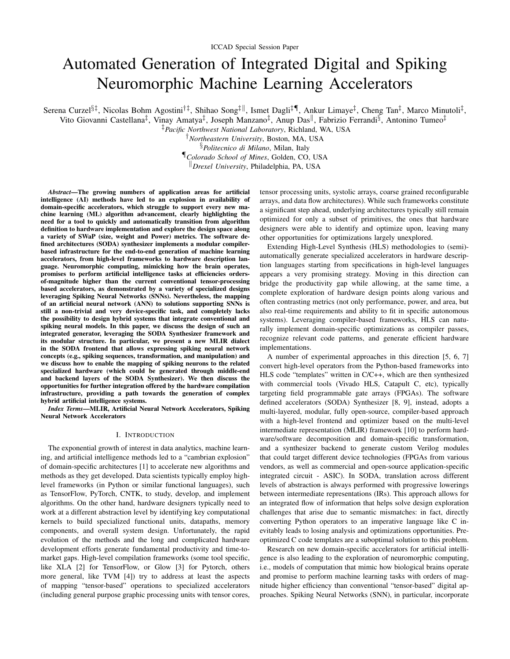# Automated Generation of Integrated Digital and Spiking Neuromorphic Machine Learning Accelerators

Serena Curzel<sup>§‡</sup>, Nicolas Bohm Agostini<sup>†‡</sup>, Shihao Song<sup>‡||</sup>, Ismet Dagli<sup>‡¶</sup>, Ankur Limaye<sup>‡</sup>, Cheng Tan<sup>‡</sup>, Marco Minutoli<sup>‡</sup>,

Vito Giovanni Castellana<sup>‡</sup>, Vinay Amatya<sup>‡</sup>, Joseph Manzano<sup>‡</sup>, Anup Das<sup>||</sup>, Fabrizio Ferrandi<sup>§</sup>, Antonino Tumeo<sup>‡</sup>

‡*Pacific Northwest National Laboratory*, Richland, WA, USA

†*Northeastern University*, Boston, MA, USA

§*Politecnico di Milano*, Milan, Italy

¶*Colorado School of Mines*, Golden, CO, USA

<sup>k</sup>*Drexel University*, Philadelphia, PA, USA

*Abstract*—The growing numbers of application areas for artificial intelligence (AI) methods have led to an explosion in availability of domain-specific accelerators, which struggle to support every new machine learning (ML) algorithm advancement, clearly highlighting the need for a tool to quickly and automatically transition from algorithm definition to hardware implementation and explore the design space along a variety of SWaP (size, weight and Power) metrics. The software defined architectures (SODA) synthesizer implements a modular compilerbased infrastructure for the end-to-end generation of machine learning accelerators, from high-level frameworks to hardware description language. Neuromorphic computing, mimicking how the brain operates, promises to perform artificial intelligence tasks at efficiencies ordersof-magnitude higher than the current conventional tensor-processing based accelerators, as demonstrated by a variety of specialized designs leveraging Spiking Neural Networks (SNNs). Nevertheless, the mapping of an artificial neural network (ANN) to solutions supporting SNNs is still a non-trivial and very device-specific task, and completely lacks the possibility to design hybrid systems that integrate conventional and spiking neural models. In this paper, we discuss the design of such an integrated generator, leveraging the SODA Synthesizer framework and its modular structure. In particular, we present a new MLIR dialect in the SODA frontend that allows expressing spiking neural network concepts (e.g., spiking sequences, transformation, and manipulation) and we discuss how to enable the mapping of spiking neurons to the related specialized hardware (which could be generated through middle-end and backend layers of the SODA Synthesizer). We then discuss the opportunities for further integration offered by the hardware compilation infrastructure, providing a path towards the generation of complex hybrid artificial intelligence systems.

*Index Terms*—MLIR, Artificial Neural Network Accelerators, Spiking Neural Network Accelerators

#### I. INTRODUCTION

The exponential growth of interest in data analytics, machine learning, and artificial intelligence methods led to a "cambrian explosion" of domain-specific architectures [1] to accelerate new algorithms and methods as they get developed. Data scientists typically employ highlevel frameworks (in Python or similar functional languages), such as TensorFlow, PyTorch, CNTK, to study, develop, and implement algorithms. On the other hand, hardware designers typically need to work at a different abstraction level by identifying key computational kernels to build specialized functional units, datapaths, memory components, and overall system design. Unfortunately, the rapid evolution of the methods and the long and complicated hardware development efforts generate fundamental productivity and time-tomarket gaps. High-level compilation frameworks (some tool specific, like XLA [2] for TensorFlow, or Glow [3] for Pytorch, others more general, like TVM [4]) try to address at least the aspects of mapping "tensor-based" operations to specialized accelerators (including general purpose graphic processing units with tensor cores, tensor processing units, systolic arrays, coarse grained reconfigurable arrays, and data flow architectures). While such frameworks constitute a significant step ahead, underlying architectures typically still remain optimized for only a subset of primitives, the ones that hardware designers were able to identify and optimize upon, leaving many other opportunities for optimizations largely unexplored.

Extending High-Level Synthesis (HLS) methodologies to (semi) automatically generate specialized accelerators in hardware description languages starting from specifications in high-level languages appears a very promising strategy. Moving in this direction can bridge the productivity gap while allowing, at the same time, a complete exploration of hardware design points along various and often contrasting metrics (not only performance, power, and area, but also real-time requirements and ability to fit in specific autonomous systems). Leveraging compiler-based frameworks, HLS can naturally implement domain-specific optimizations as compiler passes, recognize relevant code patterns, and generate efficient hardware implementations.

A number of experimental approaches in this direction [5, 6, 7] convert high-level operators from the Python-based frameworks into HLS code "templates" written in C/C++, which are then synthesized with commercial tools (Vivado HLS, Catapult C, etc), typically targeting field programmable gate arrays (FPGAs). The software defined accelerators (SODA) Synthesizer [8, 9], instead, adopts a multi-layered, modular, fully open-source, compiler-based approach with a high-level frontend and optimizer based on the multi-level intermediate representation (MLIR) framework [10] to perform hardware/software decomposition and domain-specific transformation, and a synthesizer backend to generate custom Verilog modules that could target different device technologies (FPGAs from various vendors, as well as commercial and open-source application-specific integrated circuit - ASIC). In SODA, translation across different levels of abstraction is always performed with progressive lowerings between intermediate representations (IRs). This approach allows for an integrated flow of information that helps solve design exploration challenges that arise due to semantic mismatches: in fact, directly converting Python operators to an imperative language like C inevitably leads to losing analysis and optimizations opportunities. Preoptimized C code templates are a suboptimal solution to this problem.

Research on new domain-specific accelerators for artificial intelligence is also leading to the exploration of neuromorphic computing, i.e., models of computation that mimic how biological brains operate and promise to perform machine learning tasks with orders of magnitude higher efficiency than conventional "tensor-based" digital approaches. Spiking Neural Networks (SNN), in particular, incorporate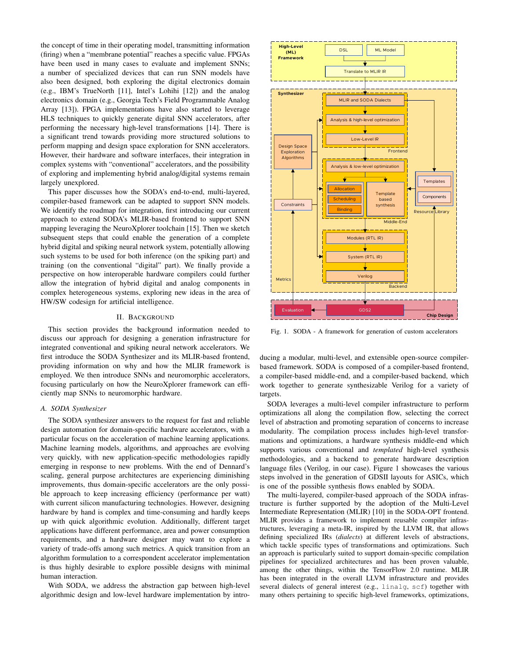the concept of time in their operating model, transmitting information (firing) when a "membrane potential" reaches a specific value. FPGAs have been used in many cases to evaluate and implement SNNs; a number of specialized devices that can run SNN models have also been designed, both exploring the digital electronics domain (e.g., IBM's TrueNorth [11], Intel's Lohihi [12]) and the analog electronics domain (e.g., Georgia Tech's Field Programmable Analog Array [13]). FPGA implementations have also started to leverage HLS techniques to quickly generate digital SNN accelerators, after performing the necessary high-level transformations [14]. There is a significant trend towards providing more structured solutions to perform mapping and design space exploration for SNN accelerators. However, their hardware and software interfaces, their integration in complex systems with "conventional" accelerators, and the possibility of exploring and implementing hybrid analog/digital systems remain largely unexplored.

This paper discusses how the SODA's end-to-end, multi-layered, compiler-based framework can be adapted to support SNN models. We identify the roadmap for integration, first introducing our current approach to extend SODA's MLIR-based frontend to support SNN mapping leveraging the NeuroXplorer toolchain [15]. Then we sketch subsequent steps that could enable the generation of a complete hybrid digital and spiking neural network system, potentially allowing such systems to be used for both inference (on the spiking part) and training (on the conventional "digital" part). We finally provide a perspective on how interoperable hardware compilers could further allow the integration of hybrid digital and analog components in complex heterogeneous systems, exploring new ideas in the area of HW/SW codesign for artificial intelligence.

# II. BACKGROUND

This section provides the background information needed to discuss our approach for designing a generation infrastructure for integrated conventional and spiking neural network accelerators. We first introduce the SODA Synthesizer and its MLIR-based frontend, providing information on why and how the MLIR framework is employed. We then introduce SNNs and neuromorphic accelerators, focusing particularly on how the NeuroXplorer framework can efficiently map SNNs to neuromorphic hardware.

## *A. SODA Synthesizer*

The SODA synthesizer answers to the request for fast and reliable design automation for domain-specific hardware accelerators, with a particular focus on the acceleration of machine learning applications. Machine learning models, algorithms, and approaches are evolving very quickly, with new application-specific methodologies rapidly emerging in response to new problems. With the end of Dennard's scaling, general purpose architectures are experiencing diminishing improvements, thus domain-specific accelerators are the only possible approach to keep increasing efficiency (performance per watt) with current silicon manufacturing technologies. However, designing hardware by hand is complex and time-consuming and hardly keeps up with quick algorithmic evolution. Additionally, different target applications have different performance, area and power consumption requirements, and a hardware designer may want to explore a variety of trade-offs among such metrics. A quick transition from an algorithm formulation to a correspondent accelerator implementation is thus highly desirable to explore possible designs with minimal human interaction.

With SODA, we address the abstraction gap between high-level algorithmic design and low-level hardware implementation by intro-



Fig. 1. SODA - A framework for generation of custom accelerators

ducing a modular, multi-level, and extensible open-source compilerbased framework. SODA is composed of a compiler-based frontend, a compiler-based middle-end, and a compiler-based backend, which work together to generate synthesizable Verilog for a variety of targets.

SODA leverages a multi-level compiler infrastructure to perform optimizations all along the compilation flow, selecting the correct level of abstraction and promoting separation of concerns to increase modularity. The compilation process includes high-level transformations and optimizations, a hardware synthesis middle-end which supports various conventional and *templated* high-level synthesis methodologies, and a backend to generate hardware description language files (Verilog, in our case). Figure 1 showcases the various steps involved in the generation of GDSII layouts for ASICs, which is one of the possible synthesis flows enabled by SODA.

The multi-layered, compiler-based approach of the SODA infrastructure is further supported by the adoption of the Multi-Level Intermediate Representation (MLIR) [10] in the SODA-OPT frontend. MLIR provides a framework to implement reusable compiler infrastructures, leveraging a meta-IR, inspired by the LLVM IR, that allows defining specialized IRs (*dialects*) at different levels of abstractions, which tackle specific types of transformations and optimizations. Such an approach is particularly suited to support domain-specific compilation pipelines for specialized architectures and has been proven valuable, among the other things, within the TensorFlow 2.0 runtime. MLIR has been integrated in the overall LLVM infrastructure and provides several dialects of general interest (e.g., linalg, scf) together with many others pertaining to specific high-level frameworks, optimizations,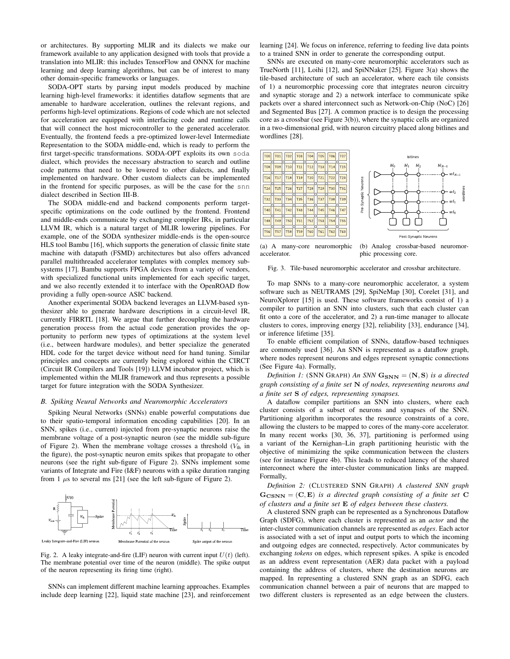or architectures. By supporting MLIR and its dialects we make our framework available to any application designed with tools that provide a translation into MLIR: this includes TensorFlow and ONNX for machine learning and deep learning algorithms, but can be of interest to many other domain-specific frameworks or languages.

SODA-OPT starts by parsing input models produced by machine learning high-level frameworks: it identifies dataflow segments that are amenable to hardware acceleration, outlines the relevant regions, and performs high-level optimizations. Regions of code which are not selected for acceleration are equipped with interfacing code and runtime calls that will connect the host microcontroller to the generated accelerator. Eventually, the frontend feeds a pre-optimized lower-level Intermediate Representation to the SODA middle-end, which is ready to perform the first target-specific transformations. SODA-OPT exploits its own soda dialect, which provides the necessary abstraction to search and outline code patterns that need to be lowered to other dialects, and finally implemented on hardware. Other custom dialects can be implemented in the frontend for specific purposes, as will be the case for the snn dialect described in Section III-B.

The SODA middle-end and backend components perform targetspecific optimizations on the code outlined by the frontend. Frontend and middle-ends communicate by exchanging compiler IRs, in particular LLVM IR, which is a natural target of MLIR lowering pipelines. For example, one of the SODA synthesizer middle-ends is the open-source HLS tool Bambu [16], which supports the generation of classic finite state machine with datapath (FSMD) architectures but also offers advanced parallel multithreaded accelerator templates with complex memory subsystems [17]. Bambu supports FPGA devices from a variety of vendors, with specialized functional units implemented for each specific target, and we also recently extended it to interface with the OpenROAD flow providing a fully open-source ASIC backend.

Another experimental SODA backend leverages an LLVM-based synthesizer able to generate hardware descriptions in a circuit-level IR, currently FIRRTL [18]. We argue that further decoupling the hardware generation process from the actual code generation provides the opportunity to perform new types of optimizations at the system level (i.e., between hardware modules), and better specialize the generated HDL code for the target device without need for hand tuning. Similar principles and concepts are currently being explored within the CIRCT (Circuit IR Compilers and Tools [19]) LLVM incubator project, which is implemented within the MLIR framework and thus represents a possible target for future integration with the SODA Synthesizer.

#### *B. Spiking Neural Networks and Neuromorphic Accelerators*

Spiking Neural Networks (SNNs) enable powerful computations due to their spatio-temporal information encoding capabilities [20]. In an SNN, spikes (i.e., current) injected from pre-synaptic neurons raise the membrane voltage of a post-synaptic neuron (see the middle sub-figure of Figure 2). When the membrane voltage crosses a threshold  $(V<sub>th</sub>$  in the figure), the post-synaptic neuron emits spikes that propagate to other neurons (see the right sub-figure of Figure 2). SNNs implement some variants of Integrate and Fire (I&F) neurons with a spike duration ranging from 1  $\mu$ s to several ms [21] (see the left sub-figure of Figure 2).



Fig. 2. A leaky integrate-and-fire (LIF) neuron with current input  $U(t)$  (left). The membrane potential over time of the neuron (middle). The spike output of the neuron representing its firing time (right).

SNNs can implement different machine learning approaches. Examples include deep learning [22], liquid state machine [23], and reinforcement learning [24]. We focus on inference, referring to feeding live data points to a trained SNN in order to generate the corresponding output.

SNNs are executed on many-core neuromorphic accelerators such as TrueNorth [11], Loihi [12], and SpiNNaker [25]. Figure 3(a) shows the tile-based architecture of such an accelerator, where each tile consists of 1) a neuromorphic processing core that integrates neuron circuitry and synaptic storage and 2) a network interface to communicate spike packets over a shared interconnect such as Network-on-Chip (NoC) [26] and Segmented Bus [27]. A common practice is to design the processing core as a crossbar (see Figure 3(b)), where the synaptic cells are organized in a two-dimensional grid, with neuron circuitry placed along bitlines and wordlines [28].



(a) A many-core neuromorphic accelerator.

(b) Analog crossbar-based neuromorphic processing core.

Fig. 3. Tile-based neuromorphic accelerator and crossbar architecture.

To map SNNs to a many-core neuromorphic accelerator, a system software such as NEUTRAMS [29], SpiNeMap [30], Corelet [31], and NeuroXplorer [15] is used. These software frameworks consist of 1) a compiler to partition an SNN into clusters, such that each cluster can fit onto a core of the accelerator, and 2) a run-time manager to allocate clusters to cores, improving energy [32], reliability [33], endurance [34], or inference lifetime [35].

To enable efficient compilation of SNNs, dataflow-based techniques are commonly used [36]. An SNN is represented as a dataflow graph, where nodes represent neurons and edges represent synaptic connections (See Figure 4a). Formally,

*Definition 1:* (SNN GRAPH) An SNN  $G_{SNN} = (N, S)$  *is a directed graph consisting of a finite set* N *of nodes, representing neurons and a finite set* S *of edges, representing synapses.*

A dataflow compiler partitions an SNN into clusters, where each cluster consists of a subset of neurons and synapses of the SNN. Partitioning algorithm incorporates the resource constraints of a core, allowing the clusters to be mapped to cores of the many-core accelerator. In many recent works [30, 36, 37], partitioning is performed using a variant of the Kernighan–Lin graph partitioning heuristic with the objective of minimizing the spike communication between the clusters (see for instance Figure 4b). This leads to reduced latency of the shared interconnect where the inter-cluster communication links are mapped. Formally,

*Definition 2:* (CLUSTERED SNN GRAPH) *A clustered SNN graph*  $G_{\text{CSNN}} = (C, E)$  *is a directed graph consisting of a finite set* C *of clusters and a finite set* E *of edges between these clusters.*

A clustered SNN graph can be represented as a Synchronous Dataflow Graph (SDFG), where each cluster is represented as an *actor* and the inter-cluster communication channels are represented as *edges*. Each actor is associated with a set of input and output ports to which the incoming and outgoing edges are connected, respectively. Actor communicates by exchanging *tokens* on edges, which represent spikes. A spike is encoded as an address event representation (AER) data packet with a payload containing the address of clusters, where the destination neurons are mapped. In representing a clustered SNN graph as an SDFG, each communication channel between a pair of neurons that are mapped to two different clusters is represented as an edge between the clusters.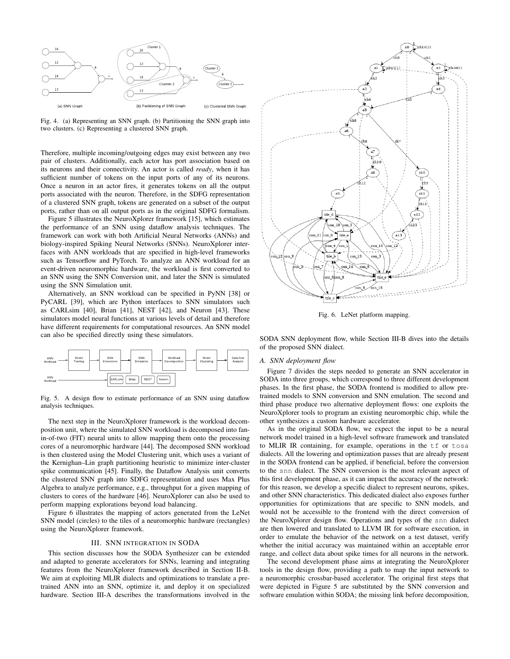

Fig. 4. (a) Representing an SNN graph. (b) Partitioning the SNN graph into two clusters. (c) Representing a clustered SNN graph.

Therefore, multiple incoming/outgoing edges may exist between any two pair of clusters. Additionally, each actor has port association based on its neurons and their connectivity. An actor is called *ready*, when it has sufficient number of tokens on the input ports of any of its neurons. Once a neuron in an actor fires, it generates tokens on all the output ports associated with the neuron. Therefore, in the SDFG representation of a clustered SNN graph, tokens are generated on a subset of the output ports, rather than on all output ports as in the original SDFG formalism.

Figure 5 illustrates the NeuroXplorer framework [15], which estimates the performance of an SNN using dataflow analysis techniques. The framework can work with both Artificial Neural Networks (ANNs) and biology-inspired Spiking Neural Networks (SNNs). NeuroXplorer interfaces with ANN workloads that are specified in high-level frameworks such as Tensorflow and PyTorch. To analyze an ANN workload for an event-driven neuromorphic hardware, the workload is first converted to an SNN using the SNN Conversion unit, and later the SNN is simulated using the SNN Simulation unit.

Alternatively, an SNN workload can be specified in PyNN [38] or PyCARL [39], which are Python interfaces to SNN simulators such as CARLsim [40], Brian [41], NEST [42], and Neuron [43]. These simulators model neural functions at various levels of detail and therefore have different requirements for computational resources. An SNN model can also be specified directly using these simulators.



Fig. 5. A design flow to estimate performance of an SNN using dataflow analysis techniques.

The next step in the NeuroXplorer framework is the workload decomposition unit, where the simulated SNN workload is decomposed into fanin-of-two (FIT) neural units to allow mapping them onto the processing cores of a neuromorphic hardware [44]. The decomposed SNN workload is then clustered using the Model Clustering unit, which uses a variant of the Kernighan–Lin graph partitioning heuristic to minimize inter-cluster spike communication [45]. Finally, the Dataflow Analysis unit converts the clustered SNN graph into SDFG representation and uses Max Plus Algebra to analyze performance, e.g., throughput for a given mapping of clusters to cores of the hardware [46]. NeuroXplorer can also be used to perform mapping explorations beyond load balancing.

Figure 6 illustrates the mapping of actors generated from the LeNet SNN model (circles) to the tiles of a neuromorphic hardware (rectangles) using the NeuroXplorer framework.

# III. SNN INTEGRATION IN SODA

This section discusses how the SODA Synthesizer can be extended and adapted to generate accelerators for SNNs, learning and integrating features from the NeuroXplorer framework described in Section II-B. We aim at exploiting MLIR dialects and optimizations to translate a pretrained ANN into an SNN, optimize it, and deploy it on specialized hardware. Section III-A describes the transformations involved in the



Fig. 6. LeNet platform mapping.

SODA SNN deployment flow, while Section III-B dives into the details of the proposed SNN dialect.

#### *A. SNN deployment flow*

Figure 7 divides the steps needed to generate an SNN accelerator in SODA into three groups, which correspond to three different development phases. In the first phase, the SODA frontend is modified to allow pretrained models to SNN conversion and SNN emulation. The second and third phase produce two alternative deployment flows: one exploits the NeuroXplorer tools to program an existing neuromorphic chip, while the other synthesizes a custom hardware accelerator.

As in the original SODA flow, we expect the input to be a neural network model trained in a high-level software framework and translated to MLIR IR containing, for example, operations in the tf or tosa dialects. All the lowering and optimization passes that are already present in the SODA frontend can be applied, if beneficial, before the conversion to the snn dialect. The SNN conversion is the most relevant aspect of this first development phase, as it can impact the accuracy of the network: for this reason, we develop a specific dialect to represent neurons, spikes, and other SNN characteristics. This dedicated dialect also exposes further opportunities for optimizations that are specific to SNN models, and would not be accessible to the frontend with the direct conversion of the NeuroXplorer design flow. Operations and types of the snn dialect are then lowered and translated to LLVM IR for software execution, in order to emulate the behavior of the network on a test dataset, verify whether the initial accuracy was maintained within an acceptable error range, and collect data about spike times for all neurons in the network.

The second development phase aims at integrating the NeuroXplorer tools in the design flow, providing a path to map the input network to a neuromorphic crossbar-based accelerator. The original first steps that were depicted in Figure 5 are substituted by the SNN conversion and software emulation within SODA; the missing link before decomposition,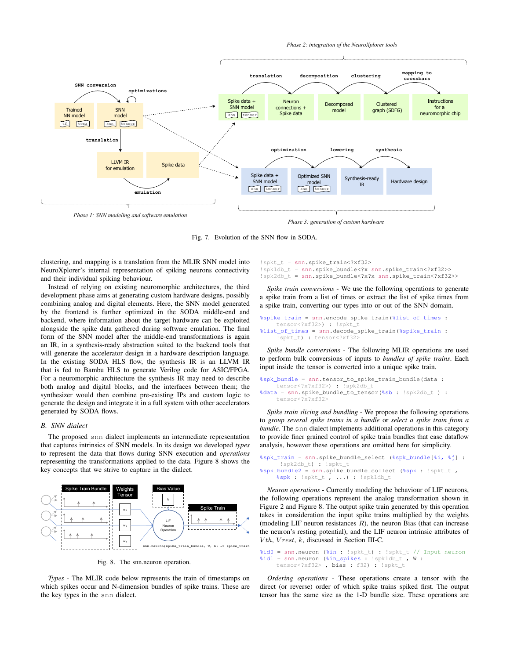

Fig. 7. Evolution of the SNN flow in SODA.

clustering, and mapping is a translation from the MLIR SNN model into NeuroXplorer's internal representation of spiking neurons connectivity and their individual spiking behaviour.

Instead of relying on existing neuromorphic architectures, the third development phase aims at generating custom hardware designs, possibly combining analog and digital elements. Here, the SNN model generated by the frontend is further optimized in the SODA middle-end and backend, where information about the target hardware can be exploited alongside the spike data gathered during software emulation. The final form of the SNN model after the middle-end transformations is again an IR, in a synthesis-ready abstraction suited to the backend tools that will generate the accelerator design in a hardware description language. In the existing SODA HLS flow, the synthesis IR is an LLVM IR that is fed to Bambu HLS to generate Verilog code for ASIC/FPGA. For a neuromorphic architecture the synthesis IR may need to describe both analog and digital blocks, and the interfaces between them; the synthesizer would then combine pre-existing IPs and custom logic to generate the design and integrate it in a full system with other accelerators generated by SODA flows.

#### *B. SNN dialect*

The proposed snn dialect implements an intermediate representation that captures intrinsics of SNN models. In its design we developed *types* to represent the data that flows during SNN execution and *operations* representing the transformations applied to the data. Figure 8 shows the key concepts that we strive to capture in the dialect.



Fig. 8. The snn.neuron operation.

*Types* - The MLIR code below represents the train of timestamps on which spikes occur and N-dimension bundles of spike trains. These are the key types in the snn dialect.

```
!spkt_t = snn.spike_train<?xf32>
!spk1db_t = snn.spike_bundle<?x snn.spike_train<?xf32>>
!spk2db_t = snn.spike_bundle<?x?x snn.spike_train<?xf32>>
```
*Spike train conversions* - We use the following operations to generate a spike train from a list of times or extract the list of spike times from a spike train, converting our types into or out of the SNN domain.

```
%spike_train = snn.encode_spike_train(%list_of_times :
    tensor<?xf32>) : !spkt
%list_of_times = snn.decode_spike_train(%spike_train :
    !spkt_t) : tensor<?xf32>
```
*Spike bundle conversions* - The following MLIR operations are used to perform bulk conversions of inputs to *bundles of spike trains*. Each input inside the tensor is converted into a unique spike train.

```
%spk_bundle = snn.tensor_to_spike_train_bundle(data :
    tensor<?x?xf32>) : !spk2db_
%data = snn.spike_bundle_to_tensor(%sb : !spk2db_t ) :
    tensor<?x?xf32>
```
*Spike train slicing and bundling* - We propose the following operations to *group several spike trains in a bundle* or *select a spike train from a bundle*. The snn dialect implements additional operations in this category to provide finer grained control of spike train bundles that ease dataflow analysis, however these operations are omitted here for simplicity.

```
%spk_train = snn.spike_bundle_select (%spk_bundle[%i, %j] :
     !spk2db_t) : !spkt_t
sspk_bundle2 = snn.spike_bundle_collect (sspk : !spkt_t,
    %spk : !spkt_t , ...) : !spk1db_t
```
*Neuron operations* - Currently modeling the behaviour of LIF neurons, the following operations represent the analog transformation shown in Figure 2 and Figure 8. The output spike train generated by this operation takes in consideration the input spike trains multiplied by the weights (modeling LIF neuron resistances  $R$ ), the neuron Bias (that can increase the neuron's resting potential), and the LIF neuron intrinsic attributes of  $Vth, Vrest, k, discussed in Section III-C.$ 

```
%id0 = snn.neuron (%in : !spkt_t) : !spkt_t // Input neuron
%id1 = snn.neuron (%in_spikes : !spk1db_t , W :
    tensor<?xf32> , bias : f32) : !spkt_t
```
*Ordering operations* - These operations create a tensor with the direct (or reverse) order of which spike trains spiked first. The output tensor has the same size as the 1-D bundle size. These operations are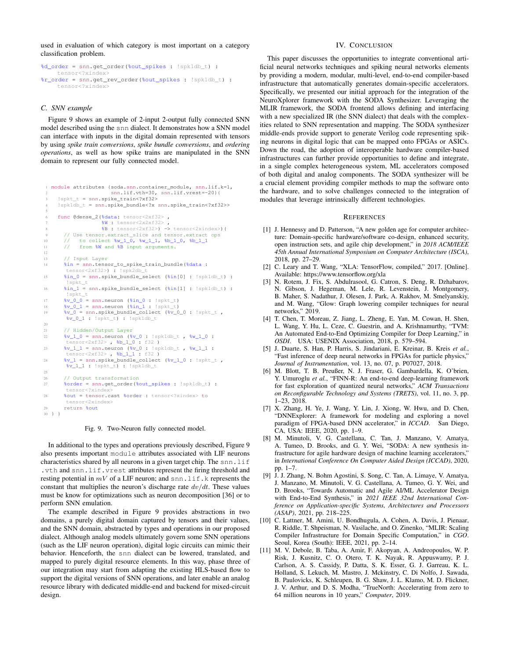used in evaluation of which category is most important on a category classification problem.

%d\_order = snn.get\_order(%out\_spikes : !spk1db\_t) : tensor<?xindex> %r\_order = snn.get\_rev\_order(%out\_spikes : !spk1db\_t) : tensor<?xindex>

# *C. SNN example*

Figure 9 shows an example of 2-input 2-output fully connected SNN model described using the snn dialect. It demonstrates how a SNN model can interface with inputs in the digital domain represented with tensors by using *spike train conversions*, *spike bundle conversions*, and *ordering operations*, as well as how spike trains are manipulated in the SNN domain to represent our fully connected model.

```
1 module attributes {soda.snn.container_module, snn.lif.k=1,
                        2 snn.lif.vth=30, snn.lif.vrest=-20}{
     ! spkt_t = snn.spike_train<?xf32>
     !spk1db_t = snn.spike_bundle<?x snn.spike_train<?xf32>>
 5
     func @dense_2(%data: tensor<2xf32>,
                    W : tensor < 2x2xf32>8 %B : tensor<2xf32>) -> tensor<2xindex>){
9 // Use tensor.extract_slice and tensor.extract ops<br>0 // to collect $w 1 0. $w 1 1. $b 1 0. $b 1 1
      10 // to collect %w_1_0, %w_1_1, %b_1_0, %b_1_1
11 // from %W and %B input arguments.
12
13 // Input Layer
14 %in = snn.tensor_to_spike_train_bundle(%data :
        tensor<2xf32>) :
15 %in_0 = snn.spike_bundle_select (%in[0] : !spk1db_t) :
        !spkt_t
16 %in_1 = snn.spike_bundle_select (%in[1] : !spk1db_t) :
!spkt_t
17 %v_0_0 = snn.neuron (%in_0 : !spkt_t)
18 \sqrt[8]{v_01} = \text{snn}.\text{neuron} (\text{$\frac{1}{2} \text{ in } 1 : \text{lsplt}\_t)}v_1 = \frac{v_1 - v_2}{v_0} = snn.spike_bundle_collect (v_0, 0) : !spkt_t ,
        %v_0_1 : !spkt_t) : !spk1db_t
2021 // Hidden/Output Layer
22 %v_1_0 = snn.neuron (%v_0 : !spk1db_t , %w_1_0 :
        tensor<2xf32> , %b_1_0 : f32 )
23 v_1 = s m.neuron (v_0 : !sph1db_t, w_1 = 1 : tosh2b24 8v_1 = snn.spike_bundle_collect 8v_1 : !spkt_t,
        %v_1_1 : !spkt_t) : !spk1db_t
25
       26 // Output transformation
27 %order = snn.get_order(%out_spikes : !spk1db_t) :
        tensor<?xindex>
28 %out = tensor.cast %order : tensor<?xindex> to
        tensor<2xindex>
29 return %out
30 } }
```
#### Fig. 9. Two-Neuron fully connected model.

In additional to the types and operations previously described, Figure 9 also presents important module attributes associated with LIF neurons characteristics shared by all neurons in a given target chip. The snn.lif .vth and snn.lif.vrest attributes represent the firing threshold and resting potential in  $mV$  of a LIF neuron; and snn.lif.k represents the constant that multiplies the neuron's discharge rate  $dv/dt$ . These values must be know for optimizations such as neuron decomposition [36] or to perform SNN emulation.

The example described in Figure 9 provides abstractions in two domains, a purely digital domain captured by tensors and their values, and the SNN domain, abstracted by types and operations in our proposed dialect. Although analog models ultimately govern some SNN operations (such as the LIF neuron operation), digital logic circuits can mimic their behavior. Henceforth, the snn dialect can be lowered, translated, and mapped to purely digital resource elements. In this way, phase three of our integration may start from adapting the existing HLS-based flow to support the digital versions of SNN operations, and later enable an analog resource library with dedicated middle-end and backend for mixed-circuit design.

#### IV. CONCLUSION

This paper discusses the opportunities to integrate conventional artificial neural networks techniques and spiking neural networks elements by providing a modern, modular, multi-level, end-to-end compiler-based infrastructure that automatically generates domain-specific accelerators. Specifically, we presented our initial approach for the integration of the NeuroXplorer framework with the SODA Synthesizer. Leveraging the MLIR framework, the SODA frontend allows defining and interfacing with a new specialized IR (the SNN dialect) that deals with the complexities related to SNN representation and mapping. The SODA synthesizer middle-ends provide support to generate Verilog code representing spiking neurons in digital logic that can be mapped onto FPGAs or ASICs. Down the road, the adoption of interoperable hardware compiler-based infrastructures can further provide opportunities to define and integrate, in a single complex heterogeneous system, ML accelerators composed of both digital and analog components. The SODA synthesizer will be a crucial element providing compiler methods to map the software onto the hardware, and to solve challenges connected to the integration of modules that leverage intrinsically different technologies.

#### **REFERENCES**

- [1] J. Hennessy and D. Patterson, "A new golden age for computer architecture: Domain-specific hardware/software co-design, enhanced security, open instruction sets, and agile chip development," in *2018 ACM/IEEE 45th Annual International Symposium on Computer Architecture (ISCA)*, 2018, pp. 27–29.
- [2] C. Leary and T. Wang, "XLA: TensorFlow, compiled," 2017. [Online]. Available: https://www.tensorflow.org/xla
- [3] N. Rotem, J. Fix, S. Abdulrasool, G. Catron, S. Deng, R. Dzhabarov, N. Gibson, J. Hegeman, M. Lele, R. Levenstein, J. Montgomery, B. Maher, S. Nadathur, J. Olesen, J. Park, A. Rakhov, M. Smelyanskiy, and M. Wang, "Glow: Graph lowering compiler techniques for neural networks," 2019.
- [4] T. Chen, T. Moreau, Z. Jiang, L. Zheng, E. Yan, M. Cowan, H. Shen, L. Wang, Y. Hu, L. Ceze, C. Guestrin, and A. Krishnamurthy, "TVM: An Automated End-to-End Optimizing Compiler for Deep Learning," in *OSDI*. USA: USENIX Association, 2018, p. 579–594.
- [5] J. Duarte, S. Han, P. Harris, S. Jindariani, E. Kreinar, B. Kreis *et al.*, "Fast inference of deep neural networks in FPGAs for particle physics," *Journal of Instrumentation*, vol. 13, no. 07, p. P07027, 2018.
- [6] M. Blott, T. B. Preußer, N. J. Fraser, G. Gambardella, K. O'brien, Y. Umuroglu *et al.*, "FINN-R: An end-to-end deep-learning framework for fast exploration of quantized neural networks," *ACM Transactions on Reconfigurable Technology and Systems (TRETS)*, vol. 11, no. 3, pp. 1–23, 2018.
- [7] X. Zhang, H. Ye, J. Wang, Y. Lin, J. Xiong, W. Hwu, and D. Chen, "DNNExplorer: A framework for modeling and exploring a novel paradigm of FPGA-based DNN accelerator," in *ICCAD*. San Diego, CA, USA: IEEE, 2020, pp. 1–9.
- [8] M. Minutoli, V. G. Castellana, C. Tan, J. Manzano, V. Amatya, A. Tumeo, D. Brooks, and G. Y. Wei, "SODA: A new synthesis infrastructure for agile hardware design of machine learning accelerators," in *International Conference On Computer Aided Design (ICCAD)*, 2020, pp. 1–7.
- [9] J. J. Zhang, N. Bohm Agostini, S. Song, C. Tan, A. Limaye, V. Amatya, J. Manzano, M. Minutoli, V. G. Castellana, A. Tumeo, G. Y. Wei, and D. Brooks, "Towards Automatic and Agile AI/ML Accelerator Design with End-to-End Synthesis," in *2021 IEEE 32nd International Conference on Application-specific Systems, Architectures and Processors (ASAP)*, 2021, pp. 218–225.
- [10] C. Lattner, M. Amini, U. Bondhugula, A. Cohen, A. Davis, J. Pienaar, R. Riddle, T. Shpeisman, N. Vasilache, and O. Zinenko, "MLIR: Scaling Compiler Infrastructure for Domain Specific Computation," in *CGO*. Seoul, Korea (South): IEEE, 2021, pp. 2–14.
- [11] M. V. Debole, B. Taba, A. Amir, F. Akopyan, A. Andreopoulos, W. P. Risk, J. Kusnitz, C. O. Otero, T. K. Nayak, R. Appuswamy, P. J. Carlson, A. S. Cassidy, P. Datta, S. K. Esser, G. J. Garreau, K. L. Holland, S. Lekuch, M. Mastro, J. Mckinstry, C. Di Nolfo, J. Sawada, B. Paulovicks, K. Schleupen, B. G. Shaw, J. L. Klamo, M. D. Flickner, J. V. Arthur, and D. S. Modha, "TrueNorth: Accelerating from zero to 64 million neurons in 10 years," *Computer*, 2019.